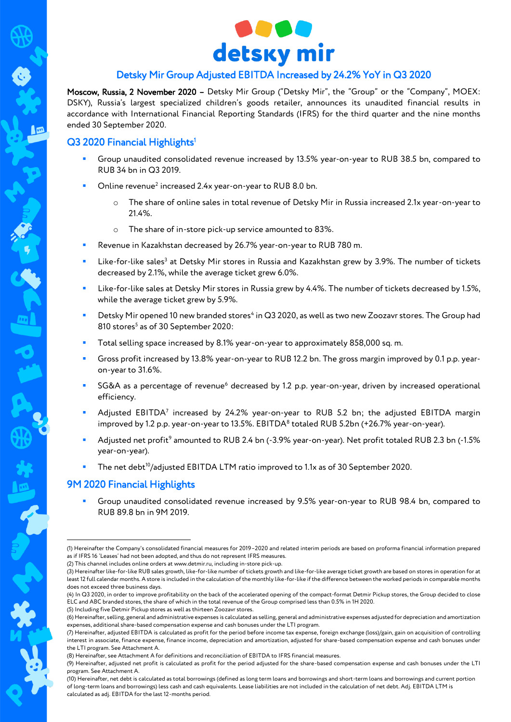

# Detsky Mir Group Adjusted EBITDA Increased by 24.2% YoY in Q3 2020

Moscow, Russia, 2 November 2020 – Detsky Mir Group ("Detsky Mir", the "Group" or the "Company", MOEX: DSKY), Russia's largest specialized children's goods retailer, announces its unaudited financial results in accordance with International Financial Reporting Standards (IFRS) for the third quarter and the nine months ended 30 September 2020.

## Q3 2020 Financial Highlights<sup>1</sup>

一

- Group unaudited consolidated revenue increased by 13.5% year-on-year to RUB 38.5 bn, compared to RUB 34 bn in Q3 2019.
- $\blacksquare$  Online revenue<sup>2</sup> increased 2.4x year-on-year to RUB 8.0 bn.
	- The share of online sales in total revenue of Detsky Mir in Russia increased 2.1x year-on-year to 21.4%.
	- o The share of in-store pick-up service amounted to 83%.
- Revenue in Kazakhstan decreased by 26.7% year-on-year to RUB 780 m.
- **EXECTS:** Like-for-like sales<sup>3</sup> at Detsky Mir stores in Russia and Kazakhstan grew by 3.9%. The number of tickets decreased by 2.1%, while the average ticket grew 6.0%.
- Like-for-like sales at Detsky Mir stores in Russia grew by 4.4%. The number of tickets decreased by 1.5%, while the average ticket grew by 5.9%.
- "Detsky Mir opened 10 new branded stores<sup>4</sup> in Q3 2020, as well as two new Zoozavr stores. The Group had 810 stores<sup>5</sup> as of 30 September 2020:
- Total selling space increased by 8.1% year-on-year to approximately 858,000 sq. m.
- Gross profit increased by 13.8% year-on-year to RUB 12.2 bn. The gross margin improved by 0.1 p.p. yearon-year to 31.6%.
- SG&A as a percentage of revenue<sup>6</sup> decreased by 1.2 p.p. year-on-year, driven by increased operational efficiency.
- **•** Adjusted EBITDA<sup>7</sup> increased by 24.2% year-on-year to RUB 5.2 bn; the adjusted EBITDA margin improved by 1.2 p.p. year-on-year to 13.5%. EBITDA<sup>8</sup> totaled RUB 5.2bn (+26.7% year-on-year).
- Majusted net profit<sup>9</sup> amounted to RUB 2.4 bn (-3.9% year-on-year). Net profit totaled RUB 2.3 bn (-1.5% year-on-year).
- The net debt<sup>10</sup>/adjusted EBITDA LTM ratio improved to 1.1x as of 30 September 2020.

### 9M 2020 Financial Highlights

 Group unaudited consolidated revenue increased by 9.5% year-on-year to RUB 98.4 bn, compared to RUB 89.8 bn in 9M 2019.

<sup>1</sup> (1) Hereinafter the Company's consolidated financial measures for 2019–2020 and related interim periods are based on proforma financial information prepared as if IFRS 16 'Leases' had not been adopted, and thus do not represent IFRS measures.

<sup>(2)</sup> This channel includes online orders a[t www.detmir.ru,](http://www.detmir.ru/) including in-store pick-up.

<sup>(3)</sup> Hereinafter like-for-like RUB sales growth, like-for-like number of tickets growth and like-for-like average ticket growth are based on stores in operation for at least 12 full calendar months. A store is included in the calculation of the monthly like-for-like if the difference between the worked periods in comparable months does not exceed three business days.

<sup>(4)</sup> In Q3 2020, in order to improve profitability on the back of the accelerated opening of the compact-format Detmir Pickup stores, the Group decided to close ELC and ABC branded stores, the share of which in the total revenue of the Group comprised less than 0.5% in 1H 2020.

<sup>(5)</sup> Including five Detmir Pickup stores as well as thirteen Zoozavr stores.

<sup>(6)</sup> Hereinafter, selling, general and administrative expenses is calculated as selling, general and administrative expenses adjusted for depreciation and amortization expenses, additional share-based compensation expense and cash bonuses under the LTI program.

<sup>(7)</sup> Hereinafter, adjusted EBITDA is calculated as profit for the period before income tax expense, foreign exchange (loss)/gain, gain on acquisition of controlling interest in associate, finance expense, finance income, depreciation and amortization, adjusted for share-based compensation expense and cash bonuses under the LTI program. See Attachment A.

<sup>(8)</sup> Hereinafter, see Attachment A for definitions and reconciliation of EBITDA to IFRS financial measures.

<sup>(9)</sup> Hereinafter, adjusted net profit is calculated as profit for the period adjusted for the share-based compensation expense and cash bonuses under the LTI program. See Attachment A.

<sup>(10)</sup> Hereinafter, net debt is calculated as total borrowings (defined as long term loans and borrowings and short-term loans and borrowings and current portion of long-term loans and borrowings) less cash and cash equivalents. Lease liabilities are not included in the calculation of net debt. Adj. EBITDA LTM is calculated as adj. EBITDA for the last 12-months period.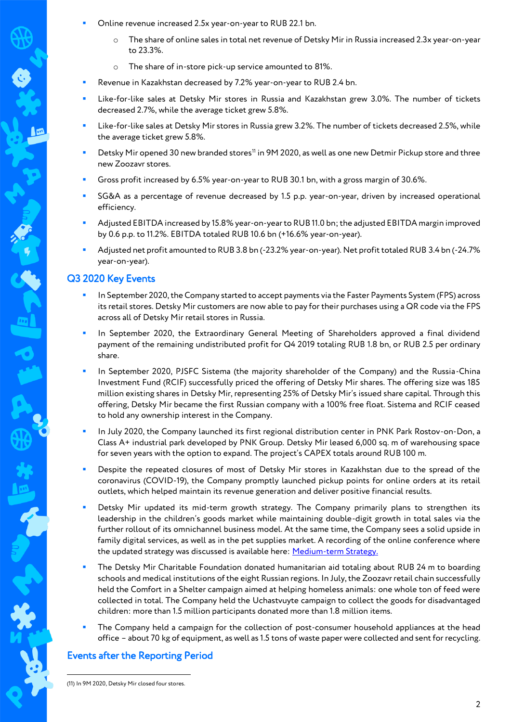- Online revenue increased 2.5x year-on-year to RUB 22.1 bn.
	- o The share of online sales in total net revenue of Detsky Mir in Russia increased 2.3x year-on-year to 23.3%.
	- o The share of in-store pick-up service amounted to 81%.
- Revenue in Kazakhstan decreased by 7.2% year-on-year to RUB 2.4 bn.
- Like-for-like sales at Detsky Mir stores in Russia and Kazakhstan grew 3.0%. The number of tickets decreased 2.7%, while the average ticket grew 5.8%.
- Like-for-like sales at Detsky Mir stores in Russia grew 3.2%. The number of tickets decreased 2.5%, while the average ticket grew 5.8%.
- Detsky Mir opened 30 new branded stores<sup>11</sup> in 9M 2020, as well as one new Detmir Pickup store and three new Zoozavr stores.
- Gross profit increased by 6.5% year-on-year to RUB 30.1 bn, with a gross margin of 30.6%.
- SG&A as a percentage of revenue decreased by 1.5 p.p. year-on-year, driven by increased operational efficiency.
- Adjusted EBITDA increased by 15.8% year-on-year to RUB 11.0 bn; the adjusted EBITDA margin improved by 0.6 p.p. to 11.2%. EBITDA totaled RUB 10.6 bn (+16.6% year-on-year).
- Adjusted net profit amounted to RUB 3.8 bn (-23.2% year-on-year). Net profittotaled RUB 3.4 bn (-24.7% year-on-year).

### Q3 2020 Key Events

- In September 2020, the Company started to accept payments via the Faster Payments System (FPS) across its retail stores. Detsky Mir customers are now able to pay for their purchases using a QR code via the FPS across all of Detsky Mir retail stores in Russia.
- In September 2020, the Extraordinary General Meeting of Shareholders approved a final dividend payment of the remaining undistributed profit for Q4 2019 totaling RUB 1.8 bn, or RUB 2.5 per ordinary share.
- In September 2020, PJSFC Sistema (the majority shareholder of the Company) and the Russia-China Investment Fund (RCIF) successfully priced the offering of Detsky Mir shares. The offering size was 185 million existing shares in Detsky Mir, representing 25% of Detsky Mir's issued share capital. Through this offering, Detsky Mir became the first Russian company with a 100% free float. Sistema and RCIF ceased to hold any ownership interest in the Company.
- In July 2020, the Company launched its first regional distribution center in PNK Park Rostov-on-Don, a Class A+ industrial park developed by PNK Group. Detsky Mir leased 6,000 sq. m of warehousing space for seven years with the option to expand. The project's CAPEX totals around RUB 100 m.
- Despite the repeated closures of most of Detsky Mir stores in Kazakhstan due to the spread of the coronavirus (COVID-19), the Company promptly launched pickup points for online orders at its retail outlets, which helped maintain its revenue generation and deliver positive financial results.
- Detsky Mir updated its mid-term growth strategy. The Company primarily plans to strengthen its leadership in the children's goods market while maintaining double-digit growth in total sales via the further rollout of its omnichannel business model. At the same time, the Company sees a solid upside in family digital services, as well as in the pet supplies market. A recording of the online conference where the updated strategy was discussed is available here[: Medium-term Strategy.](https://ir.detmir.ru/en/detsky-mir-strategy-2020/)
- The Detsky Mir Charitable Foundation donated humanitarian aid totaling about RUB 24 m to boarding schools and medical institutions of the eight Russian regions. In July, the Zoozavr retail chain successfully held the Comfort in a Shelter campaign aimed at helping homeless animals: one whole ton of feed were collected in total. The Company held the Uchastvuyte campaign to collect the goods for disadvantaged children: more than 1.5 million participants donated more than 1.8 million items.
- The Company held a campaign for the collection of post-consumer household appliances at the head office – about 70 kg of equipment, as well as 1.5 tons of waste paper were collected and sent for recycling.

# Events after the Reporting Period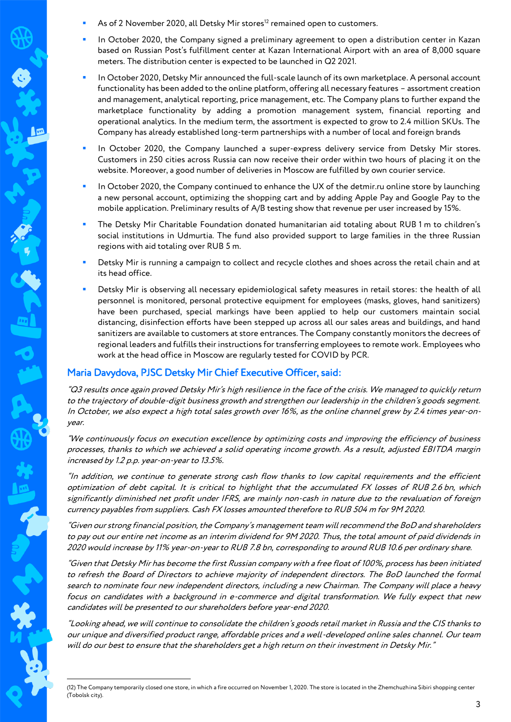- As of 2 November 2020, all Detsky Mir stores<sup>12</sup> remained open to customers.
- In October 2020, the Company signed a preliminary agreement to open a distribution center in Kazan based on Russian Post's fulfillment center at Kazan International Airport with an area of 8,000 square meters. The distribution center is expected to be launched in Q2 2021.
- In October 2020, Detsky Mir announced the full-scale launch of its own marketplace. A personal account functionality has been added to the online platform, offering all necessary features – assortment creation and management, analytical reporting, price management, etc. The Company plans to further expand the marketplace functionality by adding a promotion management system, financial reporting and operational analytics. In the medium term, the assortment is expected to grow to 2.4 million SKUs. The Company has already established long-term partnerships with a number of local and foreign brands
- In October 2020, the Company launched a super-express delivery service from Detsky Mir stores. Customers in 250 cities across Russia can now receive their order within two hours of placing it on the website. Moreover, a good number of deliveries in Moscow are fulfilled by own courier service.
- In October 2020, the Company continued to enhance the UX of the detmir.ru online store by launching a new personal account, optimizing the shopping cart and by adding Apple Pay and Google Pay to the mobile application. Preliminary results of A/B testing show that revenue per user increased by 15%.
- The Detsky Mir Charitable Foundation donated humanitarian aid totaling about RUB 1 m to children's social institutions in Udmurtia. The fund also provided support to large families in the three Russian regions with aid totaling over RUB 5 m.
- Detsky Mir is running a campaign to collect and recycle clothes and shoes across the retail chain and at its head office.
- Detsky Mir is observing all necessary epidemiological safety measures in retail stores: the health of all personnel is monitored, personal protective equipment for employees (masks, gloves, hand sanitizers) have been purchased, special markings have been applied to help our customers maintain social distancing, disinfection efforts have been stepped up across all our sales areas and buildings, and hand sanitizers are available to customers at store entrances. The Company constantly monitors the decrees of regional leaders and fulfills their instructions for transferring employees to remote work. Employees who work at the head office in Moscow are regularly tested for COVID by PCR.

### Maria Davydova, PJSC Detsky Mir Chief Executive Officer, said:

1

"Q3 results once again proved Detsky Mir's high resilience in the face of the crisis. We managed to quickly return to the trajectory of double-digit business growth and strengthen our leadership in the children's goods segment. In October, we also expect a high total sales growth over 16%, as the online channel grew by 2.4 times year-onyear.

"We continuously focus on execution excellence by optimizing costs and improving the efficiency of business processes, thanks to which we achieved a solid operating income growth. As a result, adjusted EBITDA margin increased by 1.2 p.p. year-on-year to 13.5%.

"In addition, we continue to generate strong cash flow thanks to low capital requirements and the efficient optimization of debt capital. It is critical to highlight that the accumulated FX losses of RUB 2.6 bn, which significantly diminished net profit under IFRS, are mainly non-cash in nature due to the revaluation of foreign currency payables from suppliers. Cash FX losses amounted therefore to RUB 504 m for 9М 2020.

"Given our strong financial position, the Company's management team will recommend the BoD and shareholders to pay out our entire net income as an interim dividend for 9M 2020. Thus, the total amount of paid dividends in 2020 would increase by 11% year-on-year to RUB 7.8 bn, corresponding to around RUB 10.6 per ordinary share.

"Given that Detsky Mir has become the first Russian company with a free float of 100%, process has been initiated to refresh the Board of Directors to achieve majority of independent directors. The BoD launched the formal search to nominate four new independent directors, including a new Chairman. The Company will place a heavy focus on candidates with a background in e-commerce and digital transformation. We fully expect that new candidates will be presented to our shareholders before year-end 2020.

"Looking ahead, we will continue to consolidate the children's goods retail market in Russia and the CIS thanks to our unique and diversified product range, affordable prices and a well-developed online sales channel. Our team will do our best to ensure that the shareholders get a high return on their investment in Detsky Mir."

<sup>(12)</sup> The Company temporarily closed one store, in which a fire occurred on November 1, 2020. The store is located in the Zhemchuzhina Sibiri shopping center (Tobolsk city).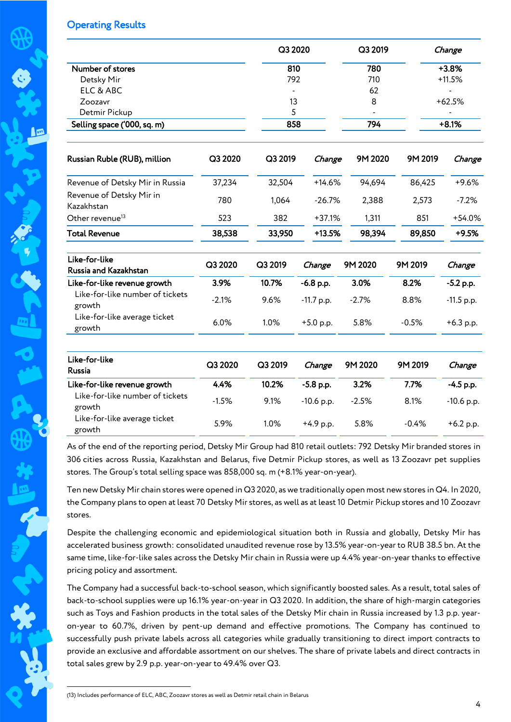### Operating Results

|                                           |         | Q3 2020 |              | Q3 2019    |         | Change       |  |  |
|-------------------------------------------|---------|---------|--------------|------------|---------|--------------|--|--|
| Number of stores                          |         | 810     |              |            |         | $+3.8%$      |  |  |
| Detsky Mir                                |         | 792     |              | 780<br>710 |         | $+11.5%$     |  |  |
| ELC & ABC                                 |         |         |              | 62         |         |              |  |  |
| Zoozavr                                   |         | 13      |              | 8          |         | $+62.5%$     |  |  |
| Detmir Pickup                             |         | 5       |              |            |         |              |  |  |
| Selling space ('000, sq. m)               |         | 858     |              | 794        |         | $+8.1%$      |  |  |
| Russian Ruble (RUB), million              | Q3 2020 | Q3 2019 | Change       | 9M 2020    | 9M 2019 | Change       |  |  |
| Revenue of Detsky Mir in Russia           | 37,234  | 32,504  | $+14.6%$     | 94,694     | 86,425  | $+9.6%$      |  |  |
| Revenue of Detsky Mir in<br>Kazakhstan    | 780     | 1,064   | $-26.7%$     | 2,388      | 2,573   | $-7.2%$      |  |  |
| Other revenue <sup>13</sup>               | 523     | 382     | $+37.1%$     | 1,311      | 851     | $+54.0%$     |  |  |
| <b>Total Revenue</b>                      | 38,538  | 33,950  | $+13.5%$     | 98,394     | 89,850  | $+9.5%$      |  |  |
| Like-for-like<br>Russia and Kazakhstan    | Q3 2020 | Q3 2019 | Change       | 9M 2020    | 9M 2019 | Change       |  |  |
| Like-for-like revenue growth              | 3.9%    | 10.7%   | $-6.8$ p.p.  | 3.0%       | 8.2%    | $-5.2$ p.p.  |  |  |
| Like-for-like number of tickets<br>growth | $-2.1%$ | 9.6%    | -11.7 p.p.   | $-2.7%$    | 8.8%    | $-11.5$ p.p. |  |  |
| Like-for-like average ticket<br>growth    | 6.0%    | 1.0%    | $+5.0$ p.p.  | 5.8%       | $-0.5%$ | $+6.3$ p.p.  |  |  |
| Like-for-like<br><b>Russia</b>            | Q3 2020 | Q3 2019 | Change       | 9M 2020    | 9M 2019 | Change       |  |  |
| Like-for-like revenue growth              | 4.4%    | 10.2%   | -5.8 p.p.    | 3.2%       | 7.7%    | $-4.5$ p.p.  |  |  |
| Like-for-like number of tickets<br>growth | $-1.5%$ | 9.1%    | $-10.6$ p.p. | $-2.5%$    | 8.1%    | -10.6 p.p.   |  |  |
| Like-for-like average ticket<br>growth    | 5.9%    | 1.0%    | $+4.9$ p.p.  | 5.8%       | $-0.4%$ | $+6.2$ p.p.  |  |  |

As of the end of the reporting period, Detsky Mir Group had 810 retail outlets: 792 Detsky Mir branded stores in 306 cities across Russia, Kazakhstan and Belarus, five Detmir Pickup stores, as well as 13 Zoozavr pet supplies stores. The Group's total selling space was 858,000 sq. m (+8.1% year-on-year).

Ten new Detsky Mir chain stores were opened in Q3 2020, as we traditionally open most new stores in Q4. In 2020, the Company plans to open at least 70 Detsky Mir stores, as well as at least 10 Detmir Pickup stores and 10 Zoozavr stores.

Despite the challenging economic and epidemiological situation both in Russia and globally, Detsky Mir has accelerated business growth: consolidated unaudited revenue rose by 13.5% year-on-year to RUB 38.5 bn. At the same time, like-for-like sales across the Detsky Mir chain in Russia were up 4.4% year-on-year thanks to effective pricing policy and assortment.

The Company had a successful back-to-school season, which significantly boosted sales. As a result, total sales of back-to-school supplies were up 16.1% year-on-year in Q3 2020. In addition, the share of high-margin categories such as Toys and Fashion products in the total sales of the Detsky Mir chain in Russia increased by 1.3 p.p. yearon-year to 60.7%, driven by pent-up demand and effective promotions. The Company has continued to successfully push private labels across all categories while gradually transitioning to direct import contracts to provide an exclusive and affordable assortment on our shelves. The share of private labels and direct contracts in total sales grew by 2.9 p.p. year-on-year to 49.4% over Q3.

1 (13) Includes performance of ELC, ABC, Zoozavr stores as well as Detmir retail chain in Belarus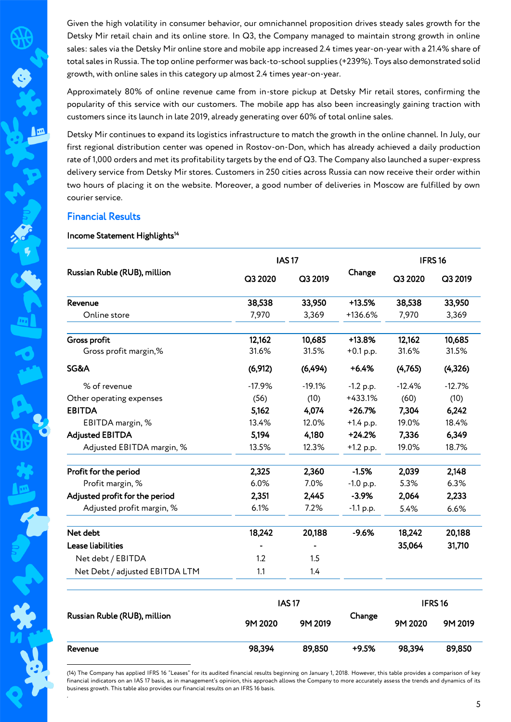Given the high volatility in consumer behavior, our omnichannel proposition drives steady sales growth for the Detsky Mir retail chain and its online store. In Q3, the Company managed to maintain strong growth in online sales: sales via the Detsky Mir online store and mobile app increased 2.4 times year-on-year with a 21.4% share of total sales in Russia. The top online performer was back-to-school supplies (+239%). Toys also demonstrated solid growth, with online sales in this category up almost 2.4 times year-on-year.

Approximately 80% of online revenue came from in-store pickup at Detsky Mir retail stores, confirming the popularity of this service with our customers. The mobile app has also been increasingly gaining traction with customers since its launch in late 2019, already generating over 60% of total online sales.

Detsky Mir continues to expand its logistics infrastructure to match the growth in the online channel. In July, our first regional distribution center was opened in Rostov-on-Don, which has already achieved a daily production rate of 1,000 orders and met its profitability targets by the end of Q3. The Company also launched a super-express delivery service from Detsky Mir stores. Customers in 250 cities across Russia can now receive their order within two hours of placing it on the website. Moreover, a good number of deliveries in Moscow are fulfilled by own courier service.

### Financial Results

In

Revenue

1

#### Income Statement Highlights<sup>14</sup>

|                                |          | <b>IAS17</b> |             |                    | IFRS <sub>16</sub> |  |  |
|--------------------------------|----------|--------------|-------------|--------------------|--------------------|--|--|
| Russian Ruble (RUB), million   | Q3 2020  | Q3 2019      | Change      | Q3 2020            | Q3 2019            |  |  |
| Revenue                        | 38,538   | 33,950       | $+13.5%$    | 38,538             | 33,950             |  |  |
| Online store                   | 7,970    | 3,369        | +136.6%     | 7,970              | 3,369              |  |  |
| Gross profit                   | 12,162   | 10,685       | $+13.8%$    | 12,162             | 10,685             |  |  |
| Gross profit margin,%          | 31.6%    | 31.5%        | $+0.1$ p.p. | 31.6%              | 31.5%              |  |  |
| SG&A                           | (6,912)  | (6, 494)     | $+6.4%$     | (4,765)            | (4,326)            |  |  |
| % of revenue                   | $-17.9%$ | $-19.1%$     | $-1.2$ p.p. | $-12.4%$           | $-12.7%$           |  |  |
| Other operating expenses       | (56)     | (10)         | +433.1%     | (60)               | (10)               |  |  |
| <b>EBITDA</b>                  | 5,162    | 4,074        | $+26.7%$    | 7,304              | 6,242              |  |  |
| EBITDA margin, %               | 13.4%    | 12.0%        | $+1.4$ p.p. | 19.0%              | 18.4%              |  |  |
| <b>Adjusted EBITDA</b>         | 5,194    | 4,180        | $+24.2%$    | 7,336              | 6,349              |  |  |
| Adjusted EBITDA margin, %      | 13.5%    | 12.3%        | $+1.2$ p.p. | 19.0%              | 18.7%              |  |  |
| Profit for the period          | 2,325    | 2,360        | $-1.5%$     | 2,039              | 2,148              |  |  |
| Profit margin, %               | 6.0%     | 7.0%         | $-1.0$ p.p. | 5.3%               | 6.3%               |  |  |
| Adjusted profit for the period | 2,351    | 2,445        | $-3.9%$     | 2,064              | 2,233              |  |  |
| Adjusted profit margin, %      | 6.1%     | 7.2%         | $-1.1 p.p.$ | 5.4%               | 6.6%               |  |  |
| Net debt                       | 18,242   | 20,188       | $-9.6%$     | 18,242             | 20,188             |  |  |
| Lease liabilities              |          |              |             | 35,064             | 31,710             |  |  |
| Net debt / EBITDA              | 1.2      | 1.5          |             |                    |                    |  |  |
| Net Debt / adjusted EBITDA LTM | 1.1      | 1.4          |             |                    |                    |  |  |
|                                |          | <b>IAS17</b> |             | IFRS <sub>16</sub> |                    |  |  |
| Russian Ruble (RUB), million   | 9M 2020  | 9M 2019      | Change      | 9M 2020            | 9M 2019            |  |  |

(14) The Company has applied IFRS 16 "Leases" for its audited financial results beginning on January 1, 2018. However, this table provides a comparison of key financial indicators on an IAS 17 basis, as in management's opinion, this approach allows the Company to more accurately assess the trends and dynamics of its business growth. This table also provides our financial results on an IFRS 16 basis. *.* 

89,850

+9.5%

98,394

98,394 89,850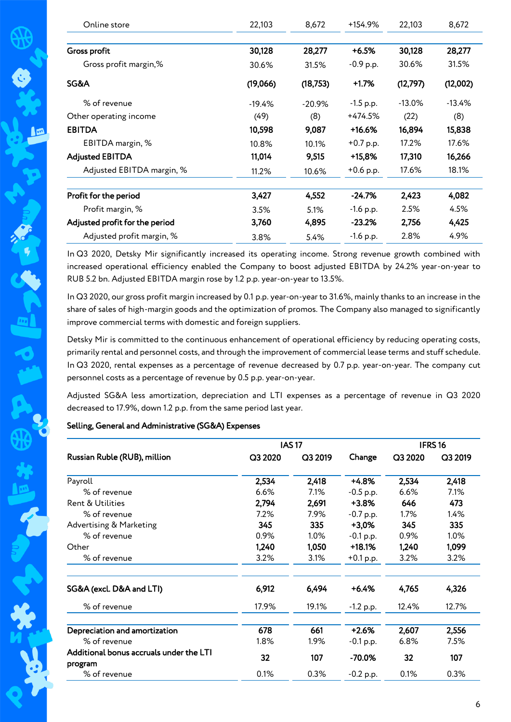| Online store                   | 22,103   | 8,672     | +154.9%     | 22,103    | 8,672    |
|--------------------------------|----------|-----------|-------------|-----------|----------|
| Gross profit                   | 30,128   | 28,277    | $+6.5%$     | 30,128    | 28,277   |
| Gross profit margin,%          | 30.6%    | 31.5%     | $-0.9$ p.p. | 30.6%     | 31.5%    |
| SG&A                           | (19,066) | (18,753)  | $+1.7%$     | (12,797)  | (12,002) |
| % of revenue                   | $-19.4%$ | $-20.9\%$ | $-1.5$ p.p. | $-13.0\%$ | $-13.4%$ |
| Other operating income         | (49)     | (8)       | +474.5%     | (22)      | (8)      |
| <b>EBITDA</b>                  | 10,598   | 9,087     | $+16.6%$    | 16,894    | 15,838   |
| EBITDA margin, %               | 10.8%    | 10.1%     | $+0.7$ p.p. | 17.2%     | 17.6%    |
| <b>Adjusted EBITDA</b>         | 11,014   | 9,515     | +15,8%      | 17,310    | 16,266   |
| Adjusted EBITDA margin, %      | 11.2%    | 10.6%     | $+0.6$ p.p. | 17.6%     | 18.1%    |
| Profit for the period          | 3,427    | 4,552     | -24.7%      | 2,423     | 4,082    |
| Profit margin, %               | 3.5%     | 5.1%      | $-1.6$ p.p. | 2.5%      | 4.5%     |
| Adjusted profit for the period | 3,760    | 4,895     | $-23.2\%$   | 2,756     | 4,425    |
| Adjusted profit margin, %      | 3.8%     | 5.4%      | $-1.6$ p.p. | 2.8%      | 4.9%     |

In Q3 2020, Detsky Mir significantly increased its operating income. Strong revenue growth combined with increased operational efficiency enabled the Company to boost adjusted EBITDA by 24.2% year-on-year to RUB 5.2 bn. Adjusted EBITDA margin rose by 1.2 p.p. year-on-year to 13.5%.

In Q3 2020, our gross profit margin increased by 0.1 p.p. year-on-year to 31.6%, mainly thanks to an increase in the share of sales of high-margin goods and the optimization of promos. The Company also managed to significantly improve commercial terms with domestic and foreign suppliers.

Detsky Mir is committed to the continuous enhancement of operational efficiency by reducing operating costs, primarily rental and personnel costs, and through the improvement of commercial lease terms and stuff schedule. In Q3 2020, rental expenses as a percentage of revenue decreased by 0.7 p.p. year-on-year. The company cut personnel costs as a percentage of revenue by 0.5 p.p. year-on-year.

Adjusted SG&A less amortization, depreciation and LTI expenses as a percentage of revenue in Q3 2020 decreased to 17.9%, down 1.2 p.p. from the same period last year.

### Selling, General and Administrative (SG&A) Expenses

|                                                    |         | <b>IAS17</b> |             |         | IFRS <sub>16</sub> |
|----------------------------------------------------|---------|--------------|-------------|---------|--------------------|
| Russian Ruble (RUB), million                       | Q3 2020 | Q3 2019      | Change      | Q3 2020 | Q3 2019            |
| Payroll                                            | 2,534   | 2,418        | $+4.8%$     | 2,534   | 2,418              |
| % of revenue                                       | 6.6%    | 7.1%         | $-0.5$ p.p. | 6.6%    | 7.1%               |
| <b>Rent &amp; Utilities</b>                        | 2,794   | 2,691        | $+3.8%$     | 646     | 473                |
| % of revenue                                       | 7.2%    | 7.9%         | $-0.7$ p.p. | $1.7\%$ | 1.4%               |
| Advertising & Marketing                            | 345     | 335          | $+3,0%$     | 345     | 335                |
| % of revenue                                       | 0.9%    | $1.0\%$      | $-0.1$ p.p. | 0.9%    | $1.0\%$            |
| Other                                              | 1,240   | 1,050        | $+18.1%$    | 1,240   | 1,099              |
| % of revenue                                       | 3.2%    | 3.1%         | $+0.1$ p.p. | 3.2%    | 3.2%               |
| SG&A (excl. D&A and LTI)                           | 6,912   | 6,494        | $+6.4%$     | 4,765   | 4,326              |
| % of revenue                                       | 17.9%   | 19.1%        | $-1.2$ p.p. | 12.4%   | 12.7%              |
| Depreciation and amortization                      | 678     | 661          | $+2.6%$     | 2,607   | 2,556              |
| % of revenue                                       | 1.8%    | 1.9%         | $-0.1 p.p.$ | 6.8%    | 7.5%               |
| Additional bonus accruals under the LTI<br>program | 32      | 107          | $-70.0%$    | 32      | 107                |
| % of revenue                                       | 0.1%    | 0.3%         | $-0.2$ p.p. | 0.1%    | 0.3%               |

**A**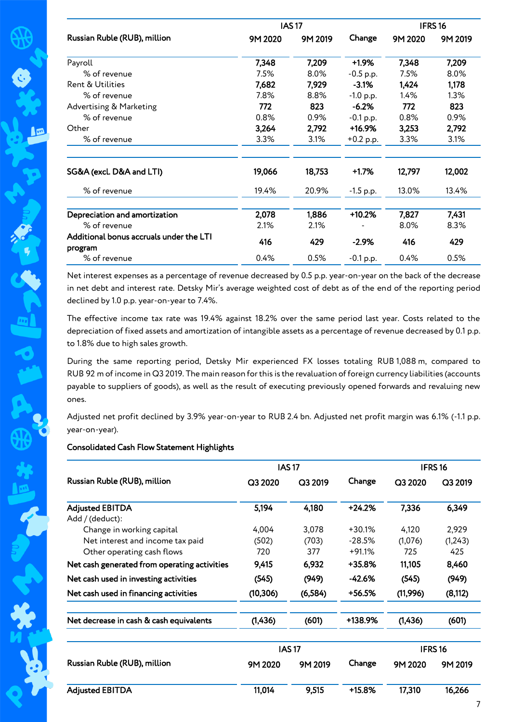|                                                    |         | <b>IAS17</b> |             |         | IFRS <sub>16</sub> |
|----------------------------------------------------|---------|--------------|-------------|---------|--------------------|
| Russian Ruble (RUB), million                       | 9M 2020 | 9M 2019      | Change      | 9M 2020 | 9M 2019            |
| Payroll                                            | 7,348   | 7,209        | $+1.9%$     | 7,348   | 7,209              |
| % of revenue                                       | 7.5%    | 8.0%         | $-0.5$ p.p. | 7.5%    | 8.0%               |
| <b>Rent &amp; Utilities</b>                        | 7,682   | 7,929        | $-3.1%$     | 1,424   | 1,178              |
| % of revenue                                       | 7.8%    | 8.8%         | $-1.0$ p.p. | 1.4%    | 1.3%               |
| Advertising & Marketing                            | 772     | 823          | $-6.2%$     | 772     | 823                |
| % of revenue                                       | 0.8%    | 0.9%         | $-0.1$ p.p. | 0.8%    | 0.9%               |
| Other                                              | 3,264   | 2,792        | +16.9%      | 3,253   | 2,792              |
| % of revenue                                       | 3.3%    | 3.1%         | $+0.2$ p.p. | 3.3%    | 3.1%               |
| SG&A (excl. D&A and LTI)                           | 19,066  | 18,753       | $+1.7%$     | 12,797  | 12,002             |
| % of revenue                                       | 19.4%   | 20.9%        | $-1.5$ p.p. | 13.0%   | 13.4%              |
| Depreciation and amortization                      | 2,078   | 1,886        | $+10.2%$    | 7,827   | 7,431              |
| % of revenue                                       | 2.1%    | 2.1%         |             | 8.0%    | 8.3%               |
| Additional bonus accruals under the LTI<br>program | 416     | 429          | $-2.9%$     | 416     | 429                |
| % of revenue                                       | 0.4%    | 0.5%         | $-0.1$ p.p. | 0.4%    | 0.5%               |

Net interest expenses as a percentage of revenue decreased by 0.5 p.p. year-on-year on the back of the decrease in net debt and interest rate. Detsky Mir's average weighted cost of debt as of the end of the reporting period declined by 1.0 p.p. year-on-year to 7.4%.

The effective income tax rate was 19.4% against 18.2% over the same period last year. Costs related to the depreciation of fixed assets and amortization of intangible assets as a percentage of revenue decreased by 0.1 p.p. to 1.8% due to high sales growth.

During the same reporting period, Detsky Mir experienced FX losses totaling RUB 1,088 m, compared to RUB 92 m of income in Q3 2019. The main reason for this is the revaluation of foreign currency liabilities (accounts payable to suppliers of goods), as well as the result of executing previously opened forwards and revaluing new ones.

Adjusted net profit declined by 3.9% year-on-year to RUB 2.4 bn. Adjusted net profit margin was 6.1% (-1.1 p.p. year-on-year).

#### Consolidated Cash Flow Statement Highlights

|                                              |           | <b>IAS17</b> |          |          | <b>IFRS16</b>      |
|----------------------------------------------|-----------|--------------|----------|----------|--------------------|
| Russian Ruble (RUB), million                 | Q3 2020   | Q3 2019      | Change   | Q3 2020  | Q3 2019            |
| <b>Adjusted EBITDA</b>                       | 5,194     | 4,180        | $+24.2%$ | 7,336    | 6,349              |
| Add / (deduct):                              |           |              |          |          |                    |
| Change in working capital                    | 4,004     | 3,078        | $+30.1%$ | 4,120    | 2,929              |
| Net interest and income tax paid             | (502)     | (703)        | $-28.5%$ | (1,076)  | (1,243)            |
| Other operating cash flows                   | 720       | 377          | $+91.1%$ | 725      | 425                |
| Net cash generated from operating activities | 9,415     | 6,932        | +35.8%   | 11,105   | 8,460              |
| Net cash used in investing activities        | (545)     | (949)        | $-42.6%$ | (545)    | (949)              |
| Net cash used in financing activities        | (10, 306) | (6, 584)     | $+56.5%$ | (11,996) | (8,112)            |
| Net decrease in cash & cash equivalents      | (1,436)   | (601)        | +138.9%  | (1,436)  | (601)              |
|                                              |           | <b>IAS17</b> |          |          | IFRS <sub>16</sub> |
| Russian Ruble (RUB), million                 | 9M 2020   | 9M 2019      | Change   | 9M 2020  | 9M 2019            |
| <b>Adjusted EBITDA</b>                       | 11,014    | 9,515        | +15.8%   | 17,310   | 16,266             |

大学的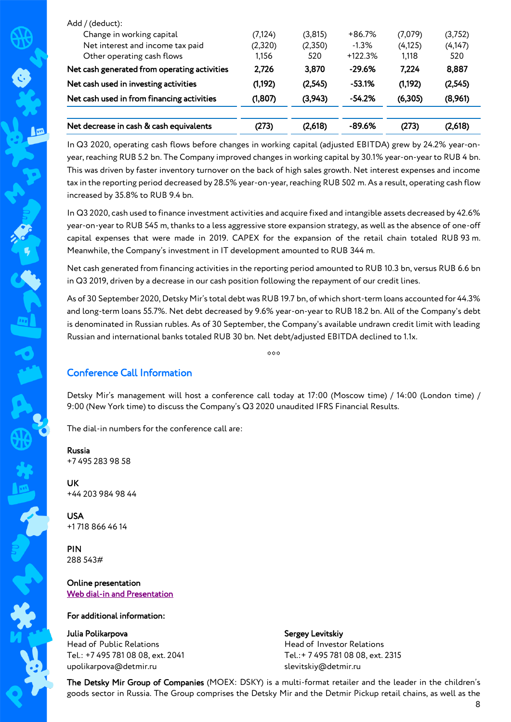| Add / (deduct):                              |          |         |           |          |          |
|----------------------------------------------|----------|---------|-----------|----------|----------|
| Change in working capital                    | (7, 124) | (3,815) | $+86.7%$  | (7,079)  | (3,752)  |
| Net interest and income tax paid             | (2,320)  | (2,350) | $-1.3%$   | (4, 125) | (4, 147) |
| Other operating cash flows                   | 1.156    | 520     | $+122.3%$ | 1.118    | 520      |
| Net cash generated from operating activities | 2.726    | 3.870   | $-29.6%$  | 7.224    | 8,887    |
| Net cash used in investing activities        | (1,192)  | (2,545) | $-53.1%$  | (1,192)  | (2,545)  |
| Net cash used in from financing activities   | (1,807)  | (3,943) | $-54.2%$  | (6,305)  | (8,961)  |
|                                              |          |         |           |          |          |
| Net decrease in cash & cash equivalents      | (273)    | (2,618) | -89.6%    | (273)    | (2,618)  |
|                                              |          |         |           |          |          |

In Q3 2020, operating cash flows before changes in working capital (adjusted EBITDA) grew by 24.2% year-onyear, reaching RUB 5.2 bn. The Company improved changes in working capital by 30.1% year-on-year to RUB 4 bn. This was driven by faster inventory turnover on the back of high sales growth. Net interest expenses and income tax in the reporting period decreased by 28.5% year-on-year, reaching RUB 502 m. As a result, operating cash flow increased by 35.8% to RUB 9.4 bn.

In Q3 2020, cash used to finance investment activities and acquire fixed and intangible assets decreased by 42.6% year-on-year to RUB 545 m, thanks to a less aggressive store expansion strategy, as well as the absence of one-off capital expenses that were made in 2019. CAPEX for the expansion of the retail chain totaled RUB 93 m. Meanwhile, the Company's investment in IT development amounted to RUB 344 m.

Net cash generated from financing activities in the reporting period amounted to RUB 10.3 bn, versus RUB 6.6 bn in Q3 2019, driven by a decrease in our cash position following the repayment of our credit lines.

As of 30 September 2020, Detsky Mir's total debt was RUB 19.7 bn, of which short-term loans accounted for 44.3% and long-term loans 55.7%. Net debt decreased by 9.6% year-on-year to RUB 18.2 bn. All of the Company's debt is denominated in Russian rubles. As of 30 September, the Company's available undrawn credit limit with leading Russian and international banks totaled RUB 30 bn. Net debt/adjusted EBITDA declined to 1.1х.

 $\alpha\alpha\alpha$ 

# Conference Call Information

Detsky Mir's management will host a conference call today at 17:00 (Moscow time) / 14:00 (London time) / 9:00 (New York time) to discuss the Company's Q3 2020 unaudited IFRS Financial Results.

The dial-in numbers for the conference call are:

#### Russia +7 495 283 98 58

In

UK +44 203 984 98 44

USA +1 718 866 46 14

PIN 288 543#

Online presentation [Web dial-in and Presentation](https://mm.closir.com/slides?id=288543) 

### For additional information:

Julia Polikarpova Head of Public Relations Tel.: +7 495 781 08 08, ext. 2041 upolikarpova@detmir.ru

Sergey Levitskiy

Head of Investor Relations Tel.:+ 7 495 781 08 08, ext. 2315 slevitskiy@detmir.ru

The Detsky Mir Group of Companies (MOEX: DSKY) is a multi-format retailer and the leader in the children's goods sector in Russia. The Group comprises the Detsky Mir and the Detmir Pickup retail chains, as well as the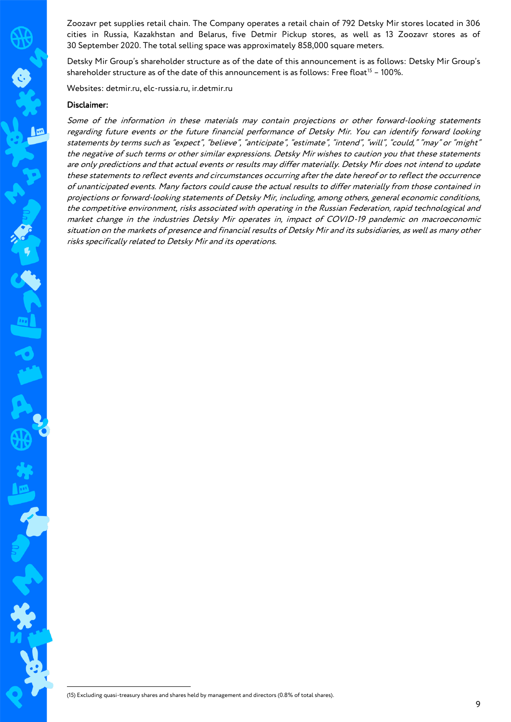Zoozavr pet supplies retail chain. The Company operates a retail chain of 792 Detsky Mir stores located in 306 cities in Russia, Kazakhstan and Belarus, five Detmir Pickup stores, as well as 13 Zoozavr stores as of 30 September 2020. The total selling space was approximately 858,000 square meters.

Detsky Mir Group's shareholder structure as of the date of this announcement is as follows: Detsky Mir Group's shareholder structure as of the date of this announcement is as follows: Free float<sup>15</sup> - 100%.

Websites: detmir.ru, elc-russia.ru, ir.detmir.ru

#### Disclaimer:

Some of the information in these materials may contain projections or other forward-looking statements regarding future events or the future financial performance of Detsky Mir. You can identify forward looking statements by terms such as "expect", "believe", "anticipate", "estimate", "intend", "will", "could," "may" or "might" the negative of such terms or other similar expressions. Detsky Mir wishes to caution you that these statements are only predictions and that actual events or results may differ materially. Detsky Mir does not intend to update these statements to reflect events and circumstances occurring after the date hereof or to reflect the occurrence of unanticipated events. Many factors could cause the actual results to differ materially from those contained in projections or forward-looking statements of Detsky Mir, including, among others, general economic conditions, the competitive environment, risks associated with operating in the Russian Federation, rapid technological and market change in the industries Detsky Mir operates in, impact of COVID-19 pandemic on macroeconomic situation on the markets of presence and financial results of Detsky Mir and its subsidiaries, as well as many other risks specifically related to Detsky Mir and its operations.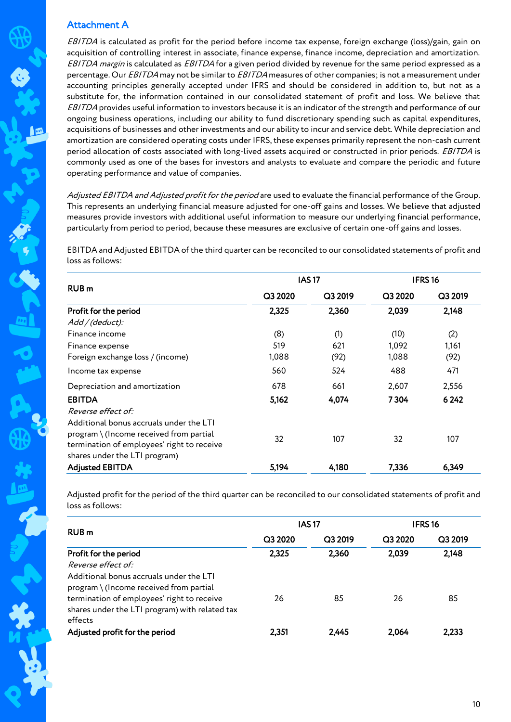## Attachment A

EBITDA is calculated as profit for the period before income tax expense, foreign exchange (loss)/gain, gain on acquisition of controlling interest in associate, finance expense, finance income, depreciation and amortization. EBITDA margin is calculated as EBITDA for a given period divided by revenue for the same period expressed as a percentage. Our EBITDA may not be similar to EBITDA measures of other companies; is not a measurement under accounting principles generally accepted under IFRS and should be considered in addition to, but not as a substitute for, the information contained in our consolidated statement of profit and loss. We believe that EBITDA provides useful information to investors because it is an indicator of the strength and performance of our ongoing business operations, including our ability to fund discretionary spending such as capital expenditures, acquisitions of businesses and other investments and our ability to incur and service debt. While depreciation and amortization are considered operating costs under IFRS, these expenses primarily represent the non-cash current period allocation of costs associated with long-lived assets acquired or constructed in prior periods. EBITDA is commonly used as one of the bases for investors and analysts to evaluate and compare the periodic and future operating performance and value of companies.

Adjusted EBITDA and Adjusted profit for the period are used to evaluate the financial performance of the Group. This represents an underlying financial measure adjusted for one-off gains and losses. We believe that adjusted measures provide investors with additional useful information to measure our underlying financial performance, particularly from period to period, because these measures are exclusive of certain one-off gains and losses.

EBITDA and Adjusted EBITDA of the third quarter can be reconciled to our consolidated statements of profit and loss as follows:

|                                                                                                                                                                     |         | <b>IAS17</b> | IFRS <sub>16</sub> |         |  |
|---------------------------------------------------------------------------------------------------------------------------------------------------------------------|---------|--------------|--------------------|---------|--|
| <b>RUB</b> <sub>m</sub>                                                                                                                                             | Q3 2020 | Q3 2019      | Q3 2020            | Q3 2019 |  |
| Profit for the period                                                                                                                                               | 2,325   | 2,360        | 2,039              | 2,148   |  |
| Add / (deduct):                                                                                                                                                     |         |              |                    |         |  |
| Finance income                                                                                                                                                      | (8)     | (1)          | (10)               | (2)     |  |
| Finance expense                                                                                                                                                     | 519     | 621          | 1,092              | 1,161   |  |
| Foreign exchange loss / (income)                                                                                                                                    | 1,088   | (92)         | 1,088              | (92)    |  |
| Income tax expense                                                                                                                                                  | 560     | 524          | 488                | 471     |  |
| Depreciation and amortization                                                                                                                                       | 678     | 661          | 2,607              | 2,556   |  |
| <b>EBITDA</b><br>Reverse effect of:                                                                                                                                 | 5,162   | 4,074        | 7304               | 6 2 4 2 |  |
| Additional bonus accruals under the LTI<br>$program \ (Income received from partial$<br>termination of employees' right to receive<br>shares under the LTI program) | 32      | 107          | 32                 | 107     |  |
| <b>Adjusted EBITDA</b>                                                                                                                                              | 5,194   | 4,180        | 7,336              | 6,349   |  |

Adjusted profit for the period of the third quarter can be reconciled to our consolidated statements of profit and loss as follows:

|                                                                                                         |         | <b>IAS17</b> | <b>IFRS16</b> |         |
|---------------------------------------------------------------------------------------------------------|---------|--------------|---------------|---------|
| RUB <sub>m</sub>                                                                                        | Q3 2020 | Q3 2019      | Q3 2020       | Q3 2019 |
| Profit for the period                                                                                   | 2,325   | 2,360        | 2,039         | 2,148   |
| Reverse effect of:                                                                                      |         |              |               |         |
| Additional bonus accruals under the LTI<br>program \ (Income received from partial                      |         |              |               |         |
| termination of employees' right to receive<br>shares under the LTI program) with related tax<br>effects | 26      | 85           | 26            | 85      |
| Adjusted profit for the period                                                                          | 2,351   | 2,445        | 2.064         | 2,233   |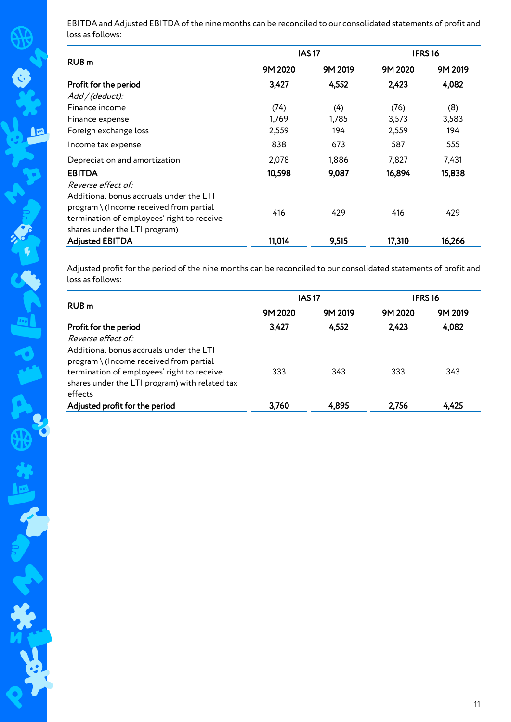EBITDA and Adjusted EBITDA of the nine months can be reconciled to our consolidated statements of profit and loss as follows:

|                                                                                                                                                                   |         | <b>IAS17</b> | IFRS <sub>16</sub> |         |
|-------------------------------------------------------------------------------------------------------------------------------------------------------------------|---------|--------------|--------------------|---------|
| RUB <sub>m</sub>                                                                                                                                                  | 9M 2020 | 9M 2019      | 9M 2020            | 9M 2019 |
| Profit for the period                                                                                                                                             | 3,427   | 4,552        | 2,423              | 4,082   |
| Add / (deduct):                                                                                                                                                   |         |              |                    |         |
| Finance income                                                                                                                                                    | (74)    | (4)          | (76)               | (8)     |
| Finance expense                                                                                                                                                   | 1,769   | 1,785        | 3,573              | 3,583   |
| Foreign exchange loss                                                                                                                                             | 2,559   | 194          | 2,559              | 194     |
| Income tax expense                                                                                                                                                | 838     | 673          | 587                | 555     |
| Depreciation and amortization                                                                                                                                     | 2,078   | 1,886        | 7,827              | 7,431   |
| <b>EBITDA</b>                                                                                                                                                     | 10,598  | 9,087        | 16,894             | 15,838  |
| Reverse effect of:                                                                                                                                                |         |              |                    |         |
| Additional bonus accruals under the LTI<br>program \ (Income received from partial<br>termination of employees' right to receive<br>shares under the LTI program) | 416     | 429          | 416                | 429     |
| <b>Adjusted EBITDA</b>                                                                                                                                            | 11,014  | 9,515        | 17,310             | 16,266  |
|                                                                                                                                                                   |         |              |                    |         |

Adjusted profit for the period of the nine months can be reconciled to our consolidated statements of profit and loss as follows:

|                                                                                                         |         | <b>IAS17</b> | <b>IFRS16</b> |         |
|---------------------------------------------------------------------------------------------------------|---------|--------------|---------------|---------|
| RUB <sub>m</sub>                                                                                        | 9M 2020 | 9M 2019      | 9M 2020       | 9M 2019 |
| Profit for the period                                                                                   | 3,427   | 4,552        | 2,423         | 4,082   |
| Reverse effect of:                                                                                      |         |              |               |         |
| Additional bonus accruals under the LTI                                                                 |         |              |               |         |
| program \ (Income received from partial                                                                 | 333     | 343          | 333           | 343     |
| termination of employees' right to receive<br>shares under the LTI program) with related tax<br>effects |         |              |               |         |
| Adjusted profit for the period                                                                          | 3,760   | 4,895        | 2.756         | 4,425   |

A<br>R

f

光泽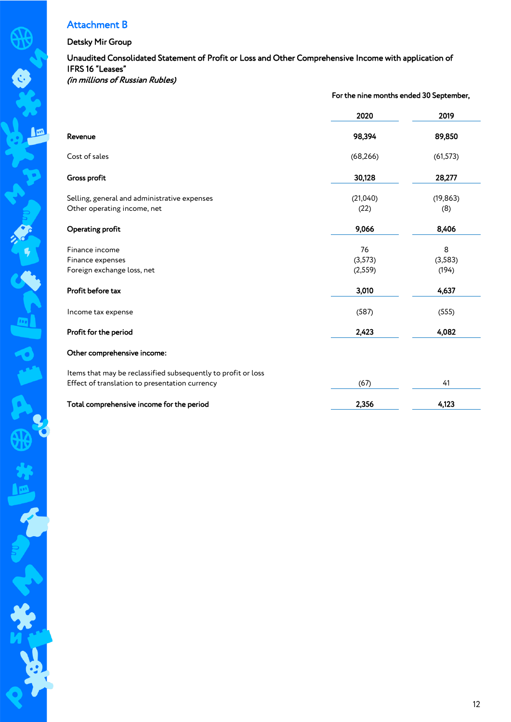# Attachment B

### Detsky Mir Group

 $\sqrt{2}$ 

T.

H

### Unaudited Consolidated Statement of Profit or Loss and Other Comprehensive Income with application of IFRS 16 "Leases" (in millions of Russian Rubles)

For the nine months ended 30 September,

|                                                               | 2020      | 2019      |
|---------------------------------------------------------------|-----------|-----------|
| Revenue                                                       | 98,394    | 89,850    |
| Cost of sales                                                 | (68, 266) | (61, 573) |
| Gross profit                                                  | 30,128    | 28,277    |
| Selling, general and administrative expenses                  | (21,040)  | (19, 863) |
| Other operating income, net                                   | (22)      | (8)       |
| Operating profit                                              | 9,066     | 8,406     |
| Finance income                                                | 76        | 8         |
| Finance expenses                                              | (3, 573)  | (3,583)   |
| Foreign exchange loss, net                                    | (2, 559)  | (194)     |
| Profit before tax                                             | 3,010     | 4,637     |
| Income tax expense                                            | (587)     | (555)     |
| Profit for the period                                         | 2,423     | 4,082     |
| Other comprehensive income:                                   |           |           |
| Items that may be reclassified subsequently to profit or loss |           |           |
| Effect of translation to presentation currency                | (67)      | 41        |
| Total comprehensive income for the period                     | 2,356     | 4,123     |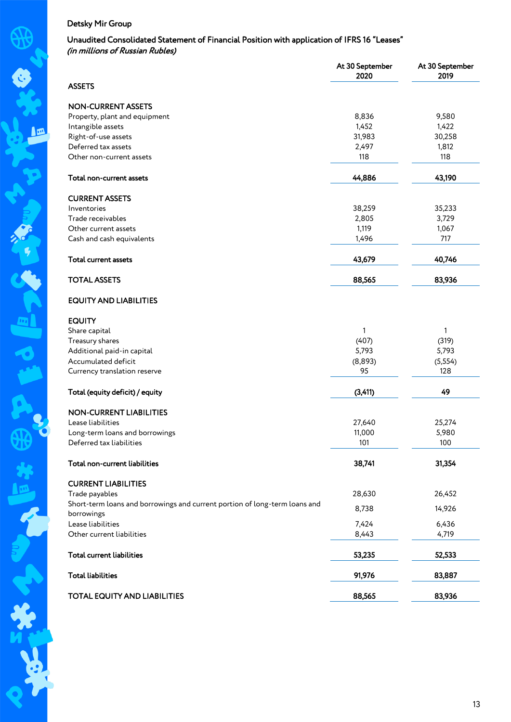### Unaudited Consolidated Statement of Financial Position with application of IFRS 16 "Leases" (in millions of Russian Rubles)

|                                                                            | At 30 September<br>2020 | At 30 September<br>2019 |
|----------------------------------------------------------------------------|-------------------------|-------------------------|
| <b>ASSETS</b>                                                              |                         |                         |
| <b>NON-CURRENT ASSETS</b>                                                  |                         |                         |
| Property, plant and equipment                                              | 8,836                   | 9,580                   |
| Intangible assets                                                          | 1,452                   | 1,422                   |
| Right-of-use assets                                                        | 31,983                  | 30,258                  |
| Deferred tax assets                                                        | 2,497                   | 1,812                   |
| Other non-current assets                                                   | 118                     | 118                     |
| Total non-current assets                                                   | 44,886                  | 43,190                  |
| <b>CURRENT ASSETS</b>                                                      |                         |                         |
| Inventories                                                                | 38,259                  | 35,233                  |
| Trade receivables                                                          | 2,805                   | 3,729                   |
| Other current assets                                                       | 1,119                   | 1,067                   |
| Cash and cash equivalents                                                  | 1,496                   | 717                     |
| Total current assets                                                       | 43,679                  | 40,746                  |
| <b>TOTAL ASSETS</b>                                                        | 88,565                  | 83,936                  |
| <b>EQUITY AND LIABILITIES</b>                                              |                         |                         |
| <b>EQUITY</b>                                                              |                         |                         |
| Share capital                                                              | 1                       | 1                       |
| Treasury shares                                                            | (407)                   | (319)                   |
| Additional paid-in capital                                                 | 5,793                   | 5,793                   |
| Accumulated deficit                                                        | (8,893)                 | (5, 554)                |
| Currency translation reserve                                               | 95                      | 128                     |
| Total (equity deficit) / equity                                            | (3, 411)                | 49                      |
| <b>NON-CURRENT LIABILITIES</b>                                             |                         |                         |
| Lease liabilities                                                          | 27,640                  | 25,274                  |
| Long-term loans and borrowings                                             | 11,000                  | 5,980                   |
| Deferred tax liabilities                                                   | 101                     | 100                     |
| Total non-current liabilities                                              | 38,741                  | 31,354                  |
| <b>CURRENT LIABILITIES</b>                                                 |                         |                         |
| Trade payables                                                             | 28,630                  | 26,452                  |
| Short-term loans and borrowings and current portion of long-term loans and |                         |                         |
| borrowings                                                                 | 8,738                   | 14,926                  |
| Lease liabilities                                                          | 7,424                   | 6,436                   |
| Other current liabilities                                                  | 8,443                   | 4,719                   |
| <b>Total current liabilities</b>                                           | 53,235                  | 52,533                  |
| <b>Total liabilities</b>                                                   | 91,976                  | 83,887                  |
| TOTAL EQUITY AND LIABILITIES                                               | 88,565                  | 83,936                  |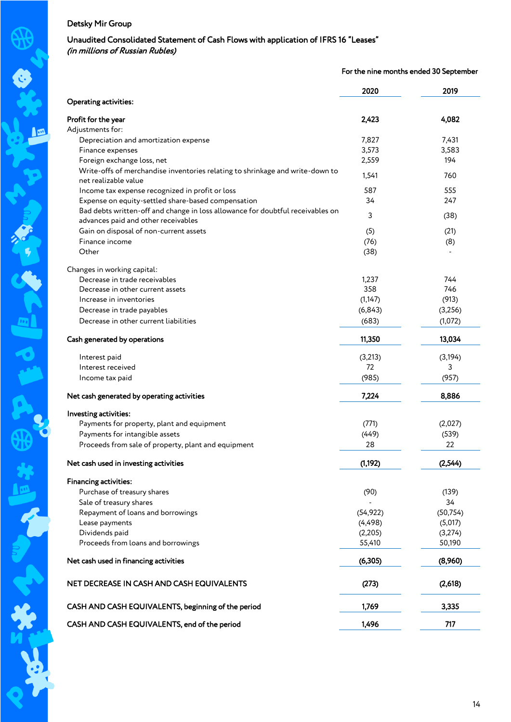### Unaudited Consolidated Statement of Cash Flows with application of IFRS 16 "Leases" (in millions of Russian Rubles)

### For the nine months ended 30 September

|                                                                                                       | 2020      | 2019      |
|-------------------------------------------------------------------------------------------------------|-----------|-----------|
| Operating activities:                                                                                 |           |           |
| Profit for the year                                                                                   | 2,423     | 4,082     |
| Adjustments for:                                                                                      |           |           |
| Depreciation and amortization expense                                                                 | 7,827     | 7,431     |
| Finance expenses                                                                                      | 3,573     | 3,583     |
| Foreign exchange loss, net                                                                            | 2,559     | 194       |
| Write-offs of merchandise inventories relating to shrinkage and write-down to<br>net realizable value | 1,541     | 760       |
| Income tax expense recognized in profit or loss                                                       | 587       | 555       |
| Expense on equity-settled share-based compensation                                                    | 34        | 247       |
| Bad debts written-off and change in loss allowance for doubtful receivables on                        |           |           |
| advances paid and other receivables                                                                   | 3         | (38)      |
| Gain on disposal of non-current assets                                                                | (5)       | (21)      |
| Finance income                                                                                        | (76)      |           |
| Other                                                                                                 | (38)      | (8)       |
|                                                                                                       |           |           |
| Changes in working capital:                                                                           |           |           |
| Decrease in trade receivables                                                                         | 1,237     | 744       |
| Decrease in other current assets                                                                      | 358       | 746       |
| Increase in inventories                                                                               | (1, 147)  | (913)     |
| Decrease in trade payables                                                                            | (6, 843)  | (3,256)   |
| Decrease in other current liabilities                                                                 | (683)     | (1,072)   |
| Cash generated by operations                                                                          | 11,350    | 13,034    |
| Interest paid                                                                                         | (3,213)   | (3, 194)  |
| Interest received                                                                                     | 72        | 3         |
| Income tax paid                                                                                       | (985)     | (957)     |
|                                                                                                       |           |           |
| Net cash generated by operating activities                                                            | 7,224     | 8,886     |
| Investing activities:                                                                                 |           |           |
| Payments for property, plant and equipment                                                            | (771)     | (2,027)   |
| Payments for intangible assets                                                                        | (449)     | (539)     |
| Proceeds from sale of property, plant and equipment                                                   | 28        | 22        |
| Net cash used in investing activities                                                                 | (1, 192)  | (2, 544)  |
|                                                                                                       |           |           |
| <b>Financing activities:</b>                                                                          |           |           |
| Purchase of treasury shares                                                                           | (90)      | (139)     |
| Sale of treasury shares                                                                               |           | 34        |
| Repayment of loans and borrowings                                                                     | (54, 922) | (50, 754) |
| Lease payments                                                                                        | (4, 498)  | (5,017)   |
| Dividends paid                                                                                        | (2, 205)  | (3,274)   |
| Proceeds from loans and borrowings                                                                    | 55,410    | 50,190    |
| Net cash used in financing activities                                                                 | (6, 305)  | (8,960)   |
| NET DECREASE IN CASH AND CASH EQUIVALENTS                                                             | (273)     | (2,618)   |
| CASH AND CASH EQUIVALENTS, beginning of the period                                                    | 1,769     | 3,335     |
| CASH AND CASH EQUIVALENTS, end of the period                                                          | 1,496     | 717       |
|                                                                                                       |           |           |

A,

1

光明的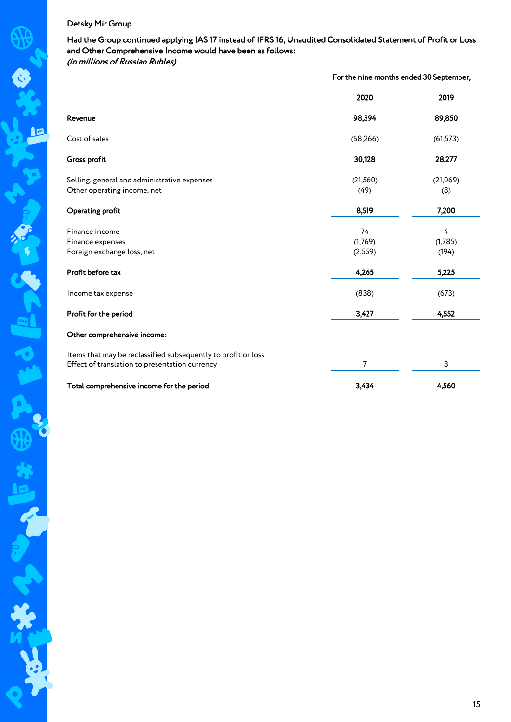Had the Group continued applying IAS 17 instead of IFRS 16, Unaudited Consolidated Statement of Profit or Loss and Other Comprehensive Income would have been as follows: (in millions of Russian Rubles)

|                                                               | For the nine months ended 30 September, |           |
|---------------------------------------------------------------|-----------------------------------------|-----------|
|                                                               | 2020                                    | 2019      |
| Revenue                                                       | 98,394                                  | 89,850    |
| Cost of sales                                                 | (68, 266)                               | (61, 573) |
| Gross profit                                                  | 30,128                                  | 28,277    |
| Selling, general and administrative expenses                  | (21, 560)                               | (21,069)  |
| Other operating income, net                                   | (49)                                    | (8)       |
| Operating profit                                              | 8,519                                   | 7,200     |
| Finance income                                                | 74                                      | 4         |
| Finance expenses                                              | (1,769)                                 | (1,785)   |
| Foreign exchange loss, net                                    | (2, 559)                                | (194)     |
| Profit before tax                                             | 4,265                                   | 5,225     |
| Income tax expense                                            | (838)                                   | (673)     |
| Profit for the period                                         | 3,427                                   | 4,552     |
| Other comprehensive income:                                   |                                         |           |
| Items that may be reclassified subsequently to profit or loss |                                         |           |
| Effect of translation to presentation currency                | 7                                       | 8         |
| Total comprehensive income for the period                     | 3,434                                   | 4,560     |

R

不知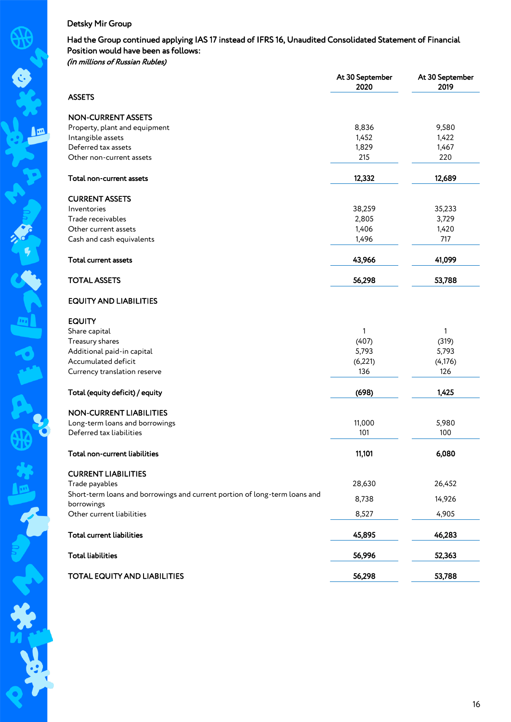### Had the Group continued applying IAS 17 instead of IFRS 16, Unaudited Consolidated Statement of Financial Position would have been as follows: (in millions of Russian Rubles)

|                                                                            | At 30 September<br>2020 | At 30 September<br>2019 |
|----------------------------------------------------------------------------|-------------------------|-------------------------|
| <b>ASSETS</b>                                                              |                         |                         |
| <b>NON-CURRENT ASSETS</b>                                                  |                         |                         |
| Property, plant and equipment                                              | 8,836                   | 9,580                   |
| Intangible assets                                                          | 1,452                   | 1,422                   |
| Deferred tax assets                                                        | 1,829                   | 1,467                   |
| Other non-current assets                                                   | 215                     | 220                     |
| Total non-current assets                                                   | 12,332                  | 12,689                  |
|                                                                            |                         |                         |
| <b>CURRENT ASSETS</b>                                                      |                         |                         |
| Inventories                                                                | 38,259                  | 35,233                  |
| Trade receivables                                                          | 2,805                   | 3,729                   |
| Other current assets                                                       | 1,406                   | 1,420                   |
| Cash and cash equivalents                                                  | 1,496                   | 717                     |
| Total current assets                                                       | 43,966                  | 41,099                  |
| <b>TOTAL ASSETS</b>                                                        | 56,298                  | 53,788                  |
| <b>EQUITY AND LIABILITIES</b>                                              |                         |                         |
| <b>EQUITY</b>                                                              |                         |                         |
| Share capital                                                              | 1                       | 1                       |
| Treasury shares                                                            | (407)                   | (319)                   |
| Additional paid-in capital                                                 | 5,793                   | 5,793                   |
| Accumulated deficit                                                        |                         |                         |
|                                                                            | (6, 221)                | (4, 176)                |
| Currency translation reserve                                               | 136                     | 126                     |
| Total (equity deficit) / equity                                            | (698)                   | 1,425                   |
| <b>NON-CURRENT LIABILITIES</b>                                             |                         |                         |
| Long-term loans and borrowings                                             | 11,000                  | 5,980                   |
| Deferred tax liabilities                                                   | 101                     | 100                     |
| Total non-current liabilities                                              | 11,101                  | 6,080                   |
| <b>CURRENT LIABILITIES</b>                                                 |                         |                         |
| Trade payables                                                             | 28,630                  | 26,452                  |
| Short-term loans and borrowings and current portion of long-term loans and | 8,738                   | 14,926                  |
| borrowings<br>Other current liabilities                                    | 8,527                   | 4,905                   |
| <b>Total current liabilities</b>                                           | 45,895                  | 46,283                  |
|                                                                            |                         |                         |
| <b>Total liabilities</b>                                                   | 56,996                  | 52,363                  |
| TOTAL EQUITY AND LIABILITIES                                               | 56,298                  | 53,788                  |